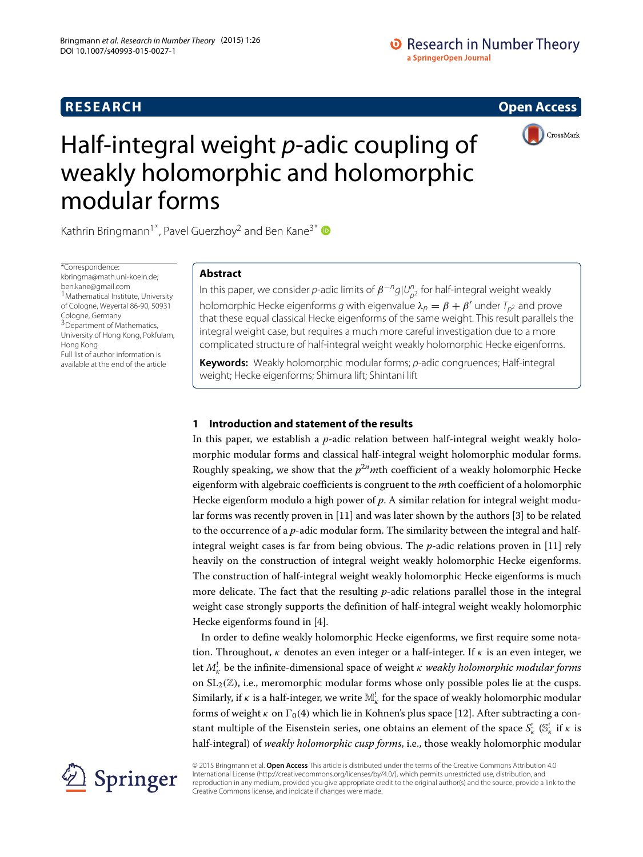# **RESEARCH Open Access**

# **•** Research in Number Theory a SpringerOpen Journal



# Half-integral weight *p*-adic coupling of weakly holomorphic and holomorphic modular forms

Kathrin Bringmann<sup>1\*</sup>, Pavel Guerzhoy<sup>2</sup> and Ben Kane<sup>3\*</sup>

\*Correspondence: [kbringma@math.uni-koeln.de;](mailto: kbringma@math.uni-koeln.de) [ben.kane@gmail.com](mailto: ben.kane@gmail.com) 1 Mathematical Institute, University of Cologne, Weyertal 86-90, 50931 Cologne, Germany <sup>3</sup>Department of Mathematics, University of Hong Kong, Pokfulam, Hong Kong Full list of author information is available at the end of the article

# **Abstract**

In this paper, we consider  $p$ -adic limits of  $\pmb{\beta}^{-n} g|U_{p^2}^n$  for half-integral weight weakly holomorphic Hecke eigenforms  $g$  with eigenvalue  $\lambda_p = \beta + \beta'$  under  $\mathcal{T}_{p^2}$  and prove that these equal classical Hecke eigenforms of the same weight. This result parallels the integral weight case, but requires a much more careful investigation due to a more complicated structure of half-integral weight weakly holomorphic Hecke eigenforms.

**Keywords:** Weakly holomorphic modular forms; p-adic congruences; Half-integral weight; Hecke eigenforms; Shimura lift; Shintani lift

# **1 Introduction and statement of the results**

In this paper, we establish a *p*-adic relation between half-integral weight weakly holomorphic modular forms and classical half-integral weight holomorphic modular forms. Roughly speaking, we show that the  $p^{2n}$ mth coefficient of a weakly holomorphic Hecke eigenform with algebraic coefficients is congruent to the *m*th coefficient of a holomorphic Hecke eigenform modulo a high power of *p*. A similar relation for integral weight modular forms was recently proven in [\[11\]](#page-12-0) and was later shown by the authors [\[3\]](#page-12-1) to be related to the occurrence of a *p*-adic modular form. The similarity between the integral and halfintegral weight cases is far from being obvious. The *p*-adic relations proven in [\[11\]](#page-12-0) rely heavily on the construction of integral weight weakly holomorphic Hecke eigenforms. The construction of half-integral weight weakly holomorphic Hecke eigenforms is much more delicate. The fact that the resulting *p*-adic relations parallel those in the integral weight case strongly supports the definition of half-integral weight weakly holomorphic Hecke eigenforms found in [\[4\]](#page-12-2).

In order to define weakly holomorphic Hecke eigenforms, we first require some notation. Throughout,  $\kappa$  denotes an even integer or a half-integer. If  $\kappa$  is an even integer, we let *M*! <sup>κ</sup> be the infinite-dimensional space of weight κ *weakly holomorphic modular forms* on  $SL_2(\mathbb{Z})$ , i.e., meromorphic modular forms whose only possible poles lie at the cusps. Similarly, if  $\kappa$  is a half-integer, we write  $\mathbb{M}^!_\kappa$  for the space of weakly holomorphic modular forms of weight  $\kappa$  on  $\Gamma_0(4)$  which lie in Kohnen's plus space [\[12\]](#page-12-3). After subtracting a constant multiple of the Eisenstein series, one obtains an element of the space  $S^!_{\kappa}$  ( $\mathbb{S}^!_{\kappa}$  if  $\kappa$  is half-integral) of *weakly holomorphic cusp forms*, i.e., those weakly holomorphic modular

Springer

© 2015 Bringmann et al. **Open Access** This article is distributed under the terms of the Creative Commons Attribution 4.0 International License [\(http://creativecommons.org/licenses/by/4.0/\)](http://creativecommons.org/licenses/by/4.0/), which permits unrestricted use, distribution, and reproduction in any medium, provided you give appropriate credit to the original author(s) and the source, provide a link to the Creative Commons license, and indicate if changes were made.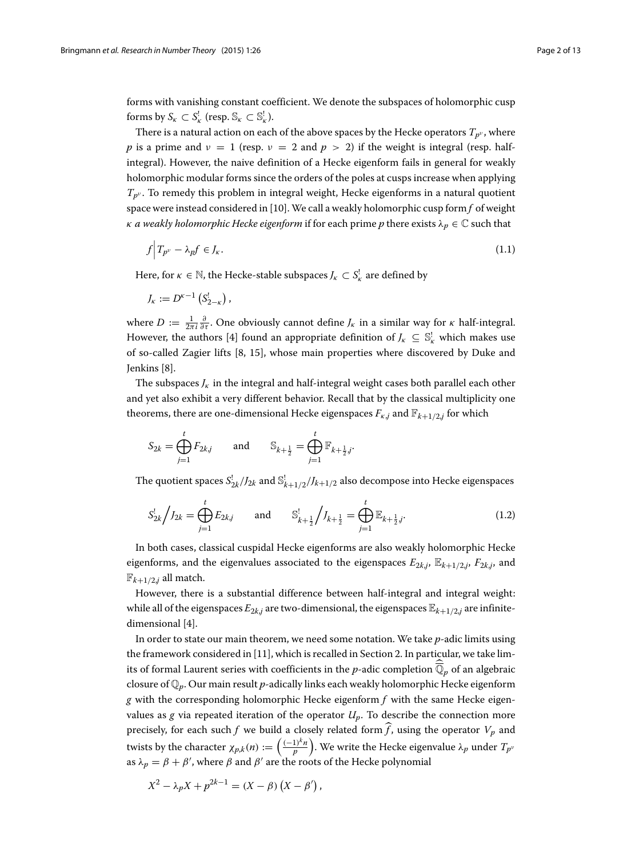forms with vanishing constant coefficient. We denote the subspaces of holomorphic cusp forms by  $S_{\kappa} \subset S_{\kappa}^!$  (resp.  $\mathbb{S}_{\kappa} \subset \mathbb{S}_{\kappa}^!$ ).

There is a natural action on each of the above spaces by the Hecke operators  $T_{p^{\nu}}$ , where *p* is a prime and  $\nu = 1$  (resp.  $\nu = 2$  and  $p > 2$ ) if the weight is integral (resp. halfintegral). However, the naive definition of a Hecke eigenform fails in general for weakly holomorphic modular forms since the orders of the poles at cusps increase when applying *Tp*<sup>ν</sup> . To remedy this problem in integral weight, Hecke eigenforms in a natural quotient space were instead considered in [\[10\]](#page-12-4). We call a weakly holomorphic cusp form *f* of weight *κ a* weakly holomorphic Hecke eigenform if for each prime *p* there exists  $\lambda_p \in \mathbb{C}$  such that

<span id="page-1-0"></span>
$$
f\Big|T_{p^{\nu}} - \lambda_p f \in J_{\kappa}.\tag{1.1}
$$

Here, for  $\kappa \in \mathbb{N}$ , the Hecke-stable subspaces  $J_{\kappa} \subset S_{\kappa}^!$  are defined by

$$
J_{\kappa}:=D^{\kappa-1}\left(S_{2-\kappa}^!\right),\,
$$

where  $D := \frac{1}{2\pi i} \frac{\partial}{\partial \tau}$ . One obviously cannot define  $J_k$  in a similar way for  $\kappa$  half-integral. However, the authors [\[4\]](#page-12-2) found an appropriate definition of  $J_k \subseteq \mathbb{S}_k^!$  which makes use of so-called Zagier lifts [\[8,](#page-12-5) [15\]](#page-12-6), whose main properties where discovered by Duke and Jenkins [\[8\]](#page-12-5).

The subspaces  $J_k$  in the integral and half-integral weight cases both parallel each other and yet also exhibit a very different behavior. Recall that by the classical multiplicity one theorems, there are one-dimensional Hecke eigenspaces  $F_{k,j}$  and  $\mathbb{F}_{k+1/2,j}$  for which

$$
S_{2k} = \bigoplus_{j=1}^{t} F_{2k,j}
$$
 and  $S_{k+\frac{1}{2}} = \bigoplus_{j=1}^{t} \mathbb{F}_{k+\frac{1}{2},j}.$ 

The quotient spaces  $S_{2k}^! / J_{2k}$  and  $S_{k+1/2}^! / J_{k+1/2}$  also decompose into Hecke eigenspaces

$$
S_{2k}^! \bigg/ J_{2k} = \bigoplus_{j=1}^t E_{2kj} \qquad \text{and} \qquad S_{k+\frac{1}{2}}^! \bigg/ J_{k+\frac{1}{2}} = \bigoplus_{j=1}^t \mathbb{E}_{k+\frac{1}{2},j}. \tag{1.2}
$$

In both cases, classical cuspidal Hecke eigenforms are also weakly holomorphic Hecke eigenforms, and the eigenvalues associated to the eigenspaces  $E_{2k,j}$ ,  $\mathbb{E}_{k+1/2,j}$ ,  $F_{2k,j}$ , and  $\mathbb{F}_{k+1/2,j}$  all match.

However, there is a substantial difference between half-integral and integral weight: while all of the eigenspaces  $E_{2k,j}$  are two-dimensional, the eigenspaces  $\mathbb{E}_{k+1/2,j}$  are infinitedimensional [\[4\]](#page-12-2).

In order to state our main theorem, we need some notation. We take *p*-adic limits using the framework considered in [\[11\]](#page-12-0), which is recalled in Section [2.](#page-4-0) In particular, we take limits of formal Laurent series with coefficients in the  $p$ -adic completion  $\mathbb{Q}_p$  of an algebraic closure of Q*p*. Our main result *p*-adically links each weakly holomorphic Hecke eigenform  $g$  with the corresponding holomorphic Hecke eigenform  $f$  with the same Hecke eigenvalues as  $g$  via repeated iteration of the operator  $U_p$ . To describe the connection more precisely, for each such *f* we build a closely related form  $\widehat{f}$ , using the operator  $V_p$  and twists by the character  $\chi_{p,k}(n) := \left(\frac{(-1)^k n}{p}\right)$ ). We write the Hecke eigenvalue  $\lambda_p$  under  $T_{p^{\nu}}$ as  $\lambda_p = \beta + \beta'$ , where  $\beta$  and  $\beta'$  are the roots of the Hecke polynomial

<span id="page-1-1"></span>,

$$
X^{2} - \lambda_{p} X + p^{2k-1} = (X - \beta) (X - \beta')
$$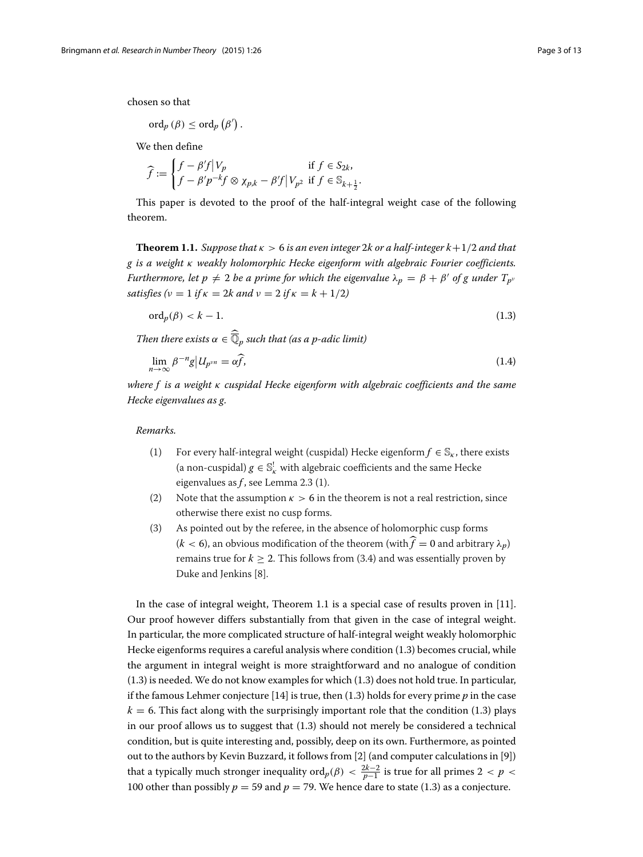chosen so that

$$
\mathrm{ord}_p\left(\beta\right)\leq\mathrm{ord}_p\left(\beta'\right).
$$

We then define

$$
\widehat{f} := \begin{cases} f - \beta' f \big| V_p & \text{if } f \in S_{2k}, \\ f - \beta' p^{-k} f \otimes \chi_{p,k} - \beta' f \big| V_{p^2} & \text{if } f \in \mathbb{S}_{k + \frac{1}{2}} \end{cases}
$$

This paper is devoted to the proof of the half-integral weight case of the following theorem.

<span id="page-2-2"></span><span id="page-2-1"></span>.

<span id="page-2-0"></span>**Theorem 1.1.** *Suppose that*  $\kappa > 6$  *is an even integer* 2*k or a half-integer*  $k+1/2$  *and that g is a weight* κ *weakly holomorphic Hecke eigenform with algebraic Fourier coefficients. Furthermore, let p*  $\neq 2$  *be a prime for which the eigenvalue*  $\lambda_p = \beta + \beta'$  *of g under*  $T_{p^\nu}$ *satisfies*  $(v = 1$  *if*  $\kappa = 2k$  *and*  $v = 2$  *if*  $\kappa = k + 1/2$ *)* 

$$
\operatorname{ord}_p(\beta) < k - 1. \tag{1.3}
$$

Then there exists 
$$
\alpha \in \overline{\mathbb{Q}}_p
$$
 such that (as a p-adic limit)  
\n
$$
\lim_{n \to \infty} \beta^{-n} g |U_{p^{\nu n}} = \alpha \widehat{f},
$$
\n(1.4)

*where f is a weight* κ *cuspidal Hecke eigenform with algebraic coefficients and the same Hecke eigenvalues as g.*

*Remarks.*

- (1) For every half-integral weight (cuspidal) Hecke eigenform  $f \in \mathbb{S}_{\kappa}$ , there exists (a non-cuspidal)  $g \in \mathbb{S}_{\kappa}^!$  with algebraic coefficients and the same Hecke eigenvalues as *f* , see Lemma [2.3](#page-6-0) (1).
- (2) Note that the assumption  $\kappa > 6$  in the theorem is not a real restriction, since otherwise there exist no cusp forms.
- (3) As pointed out by the referee, in the absence of holomorphic cusp forms  $(k < 6)$ , an obvious modification of the theorem (with  $\hat{f} = 0$  and arbitrary  $\lambda_n$ ) remains true for  $k \geq 2$ . This follows from [\(3.4\)](#page-8-0) and was essentially proven by Duke and Jenkins [\[8\]](#page-12-5).

In the case of integral weight, Theorem [1.1](#page-2-0) is a special case of results proven in [\[11\]](#page-12-0). Our proof however differs substantially from that given in the case of integral weight. In particular, the more complicated structure of half-integral weight weakly holomorphic Hecke eigenforms requires a careful analysis where condition [\(1.3\)](#page-2-1) becomes crucial, while the argument in integral weight is more straightforward and no analogue of condition [\(1.3\)](#page-2-1) is needed. We do not know examples for which [\(1.3\)](#page-2-1) does not hold true. In particular, if the famous Lehmer conjecture [\[14\]](#page-12-7) is true, then [\(1.3\)](#page-2-1) holds for every prime *p* in the case  $k = 6$ . This fact along with the surprisingly important role that the condition [\(1.3\)](#page-2-1) plays in our proof allows us to suggest that [\(1.3\)](#page-2-1) should not merely be considered a technical condition, but is quite interesting and, possibly, deep on its own. Furthermore, as pointed out to the authors by Kevin Buzzard, it follows from [\[2\]](#page-12-8) (and computer calculations in [\[9\]](#page-12-9)) that a typically much stronger inequality  $\text{ord}_p(\beta) < \frac{2k-2}{p-1}$  is true for all primes 2 < *p* < 100 other than possibly  $p = 59$  and  $p = 79$ . We hence dare to state [\(1.3\)](#page-2-1) as a conjecture.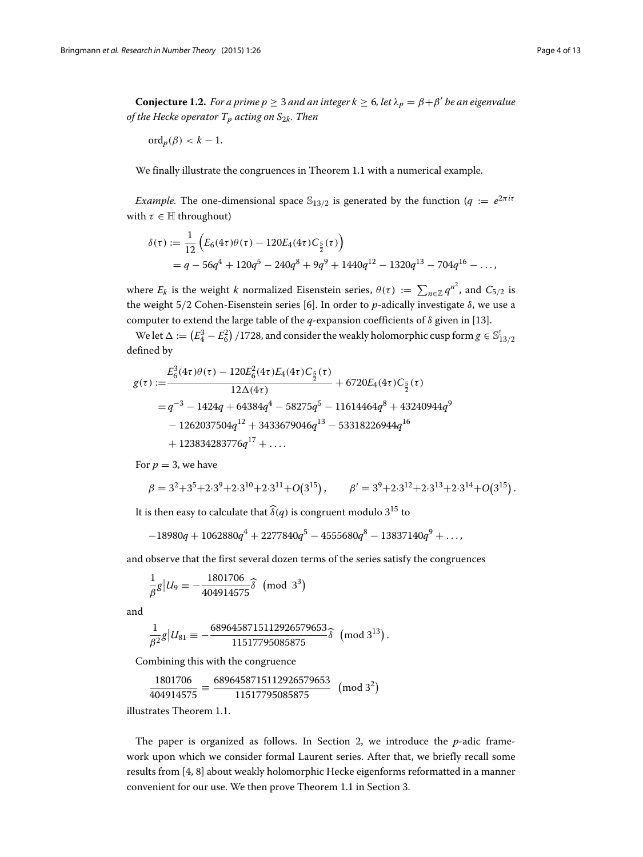<span id="page-3-0"></span> $\bf{Conjecture~1.2.}$  *For a prime*  $p \geq 3$  *and an integer k*  $\geq 6$ , let  $\lambda_p = \beta + \beta'$  be an eigenvalue *of the Hecke operator*  $T_p$  *acting on*  $S_{2k}$ *. Then* 

$$
\mathrm{ord}_p(\beta) < k - 1.
$$

We finally illustrate the congruences in Theorem [1.1](#page-2-0) with a numerical example.

*Example.* The one-dimensional space  $\mathbb{S}_{13/2}$  is generated by the function ( $q := e^{2\pi i \tau}$ with  $\tau \in \mathbb{H}$  throughout)

$$
\delta(\tau) := \frac{1}{12} \left( E_6(4\tau)\theta(\tau) - 120E_4(4\tau)C_{\frac{5}{2}}(\tau) \right)
$$
  
=  $q - 56q^4 + 120q^5 - 240q^8 + 9q^9 + 1440q^{12} - 1320q^{13} - 704q^{16} - \dots,$ 

where  $E_k$  is the weight *k* normalized Eisenstein series,  $\theta(\tau) := \sum_{n \in \mathbb{Z}} q^{n^2}$ , and  $C_{5/2}$  is the weight 5/2 Cohen-Eisenstein series [\[6\]](#page-12-10). In order to *p*-adically investigate δ, we use a computer to extend the large table of the  $q$ -expansion coefficients of  $\delta$  given in [\[13\]](#page-12-11).

We let  $\Delta := (E_4^3 - E_6^2)$  /1728, and consider the weakly holomorphic cusp form  $g \in \mathbb{S}^!_{13/2}$ defined by

$$
g(\tau) := \frac{E_6^3(4\tau)\theta(\tau) - 120E_6^2(4\tau)E_4(4\tau)C_{\frac{5}{2}}(\tau)}{12\Delta(4\tau)} + 6720E_4(4\tau)C_{\frac{5}{2}}(\tau)
$$
  
=  $q^{-3} - 1424q + 64384q^4 - 58275q^5 - 11614464q^8 + 43240944q^9$   
-  $1262037504q^{12} + 3433679046q^{13} - 53318226944q^{16}$   
+  $123834283776q^{17} + ...$ 

For  $p = 3$ , we have

$$
\beta = 3^2 + 3^5 + 2 \cdot 3^9 + 2 \cdot 3^{10} + 2 \cdot 3^{11} + O(3^{15}), \qquad \beta' = 3^9 + 2 \cdot 3^{12} + 2 \cdot 3^{13} + 2 \cdot 3^{14} + O(3^{15}).
$$

It is then easy to calculate that  $\widehat{\delta}(q)$  is congruent modulo 3<sup>15</sup> to

$$
-18980q + 1062880q^{4} + 2277840q^{5} - 4555680q^{8} - 13837140q^{9} + \ldots,
$$

and observe that the first several dozen terms of the series satisfy the congruences

$$
\frac{1}{\beta}g|U_9 \equiv -\frac{1801706}{404914575}\widehat{\delta} \pmod{3^3}
$$

and

$$
\frac{1}{\beta^2}g|U_{81}\equiv-\frac{6896458715112926579653}{11517795085875}\widehat{\delta}\ \, \textup{(mod $3^{13}$)}\,.
$$

Combining this with the congruence

$$
\frac{1801706}{404914575} \equiv \frac{6896458715112926579653}{11517795085875} \pmod{3^2}
$$

illustrates Theorem [1.1.](#page-2-0)

The paper is organized as follows. In Section [2,](#page-4-0) we introduce the *p*-adic framework upon which we consider formal Laurent series. After that, we briefly recall some results from [\[4,](#page-12-2) [8\]](#page-12-5) about weakly holomorphic Hecke eigenforms reformatted in a manner convenient for our use. We then prove Theorem [1.1](#page-2-0) in Section [3.](#page-7-0)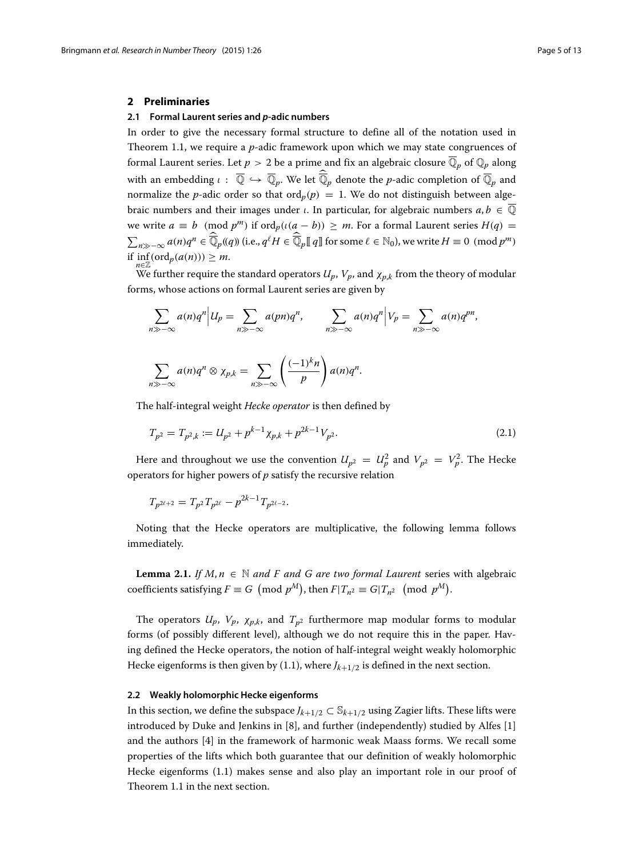#### <span id="page-4-0"></span>**2 Preliminaries**

#### **2.1 Formal Laurent series and** *p***-adic numbers**

In order to give the necessary formal structure to define all of the notation used in Theorem [1.1,](#page-2-0) we require a *p*-adic framework upon which we may state congruences of formal Laurent series. Let  $p > 2$  be a prime and fix an algebraic closure  $\overline{\mathbb{Q}}_p$  of  $\mathbb{Q}_p$  along with an embedding  $\iota$  :  $\mathbb{Q} \hookrightarrow \mathbb{Q}_p.$  We let  $\mathbb{Q}_p$  denote the  $p$ -adic completion of  $\mathbb{Q}_p$  and normalize the *p*-adic order so that ord<sub>*p*</sub>(*p*) = 1. We do not distinguish between algebraic numbers and their images under *ι*. In particular, for algebraic numbers  $a, b \in \overline{Q}$ we write  $a \equiv b \pmod{p^m}$  if  $\text{ord}_p((a - b)) \ge m$ . For a formal Laurent series  $H(q)$  $\sum_{n\gg-\infty}a(n)q^n \in \overline{\mathbb{Q}}_p(q)$  (i.e.,  $q^\ell H \in \overline{\mathbb{Q}}_p[]q]$  for some  $\ell \in \mathbb{N}_0$ ), we write  $H \equiv 0 \pmod{p^m}$ if  $inf_{n \in \mathbb{Z}} (ord_p(a(n))) \geq m$ .

We further require the standard operators  $U_p$ ,  $V_p$ , and  $\chi_{p,k}$  from the theory of modular forms, whose actions on formal Laurent series are given by

$$
\sum_{n \gg -\infty} a(n)q^n \Big| U_p = \sum_{n \gg -\infty} a(pn)q^n, \qquad \sum_{n \gg -\infty} a(n)q^n \Big| V_p = \sum_{n \gg -\infty} a(n)q^{pn},
$$
  

$$
\sum_{n \gg -\infty} a(n)q^n \otimes \chi_{p,k} = \sum_{n \gg -\infty} \left( \frac{(-1)^k n}{p} \right) a(n)q^n.
$$

The half-integral weight *Hecke operator* is then defined by

<span id="page-4-1"></span>
$$
T_{p^2} = T_{p^2,k} := U_{p^2} + p^{k-1} \chi_{p,k} + p^{2k-1} V_{p^2}.
$$
\n(2.1)

Here and throughout we use the convention  $U_{p^2} = U_p^2$  and  $V_{p^2} = V_p^2$ . The Hecke operators for higher powers of *p* satisfy the recursive relation

$$
T_{p^{2\ell+2}} = T_{p^2} T_{p^{2\ell}} - p^{2k-1} T_{p^{2\ell-2}}.
$$

Noting that the Hecke operators are multiplicative, the following lemma follows immediately.

<span id="page-4-2"></span>**Lemma 2.1.** *If*  $M, n \in \mathbb{N}$  *and F and G are two formal Laurent* series with algebraic  $\text{coefficients satisfying } F \equiv G \pmod{p^M}$ , then  $F|T_{n^2} \equiv G|T_{n^2} \pmod{p^M}$ .

The operators  $U_p$ ,  $V_p$ ,  $\chi_{p,k}$ , and  $T_{p^2}$  furthermore map modular forms to modular forms (of possibly different level), although we do not require this in the paper. Having defined the Hecke operators, the notion of half-integral weight weakly holomorphic Hecke eigenforms is then given by [\(1.1\)](#page-1-0), where  $J_{k+1/2}$  is defined in the next section.

#### **2.2 Weakly holomorphic Hecke eigenforms**

In this section, we define the subspace  $J_{k+1/2} \subset \mathbb{S}_{k+1/2}$  using Zagier lifts. These lifts were introduced by Duke and Jenkins in [\[8\]](#page-12-5), and further (independently) studied by Alfes [\[1\]](#page-12-12) and the authors [\[4\]](#page-12-2) in the framework of harmonic weak Maass forms. We recall some properties of the lifts which both guarantee that our definition of weakly holomorphic Hecke eigenforms [\(1.1\)](#page-1-0) makes sense and also play an important role in our proof of Theorem [1.1](#page-2-0) in the next section.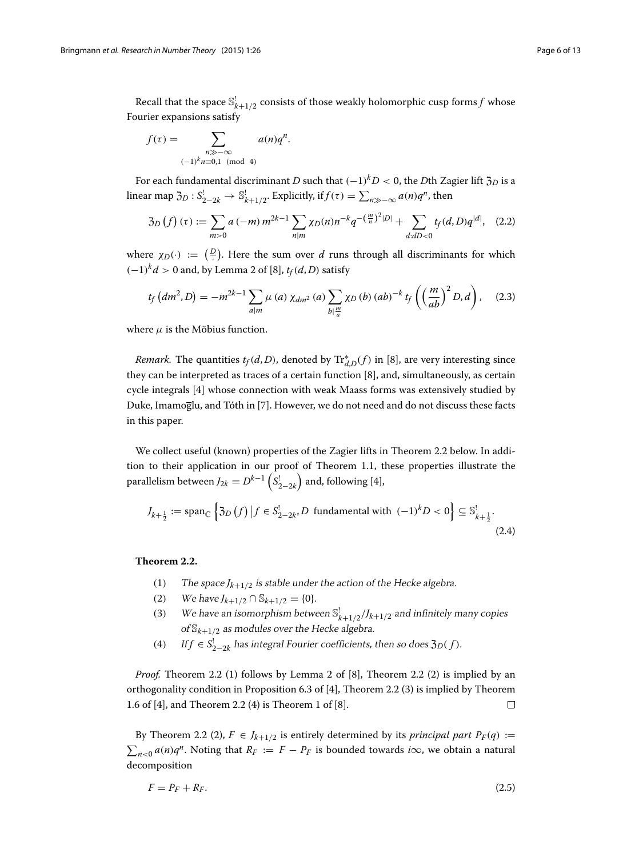Recall that the space  $\mathbb{S}_{k+1/2}^!$  consists of those weakly holomorphic cusp forms  $f$  whose Fourier expansions satisfy

$$
f(\tau) = \sum_{\substack{n \gg -\infty \\ (-1)^k n \equiv 0,1 \pmod{4}}} a(n)q^n.
$$

For each fundamental discriminant *D* such that  $(-1)^kD < 0$ , the *D*th Zagier lift  $\mathfrak{Z}_D$  is a linear map  $\mathfrak{Z}_D : S^!_{2-2k} \to \mathbb{S}^!_{k+1/2}$ . Explicitly, if  $f(\tau) = \sum_{n \gg -\infty} a(n)q^n$ , then

<span id="page-5-1"></span>
$$
\mathfrak{Z}_D\left(f\right)(\tau) := \sum_{m>0} a\left(-m\right) m^{2k-1} \sum_{n|m} \chi_D(n) n^{-k} q^{-\left(\frac{m}{n}\right)^2|D|} + \sum_{d:dD<0} t_f(d,D) q^{|d|}, \quad (2.2)
$$

where  $\chi_D(\cdot) := \left(\frac{D}{\cdot}\right)$ . Here the sum over *d* runs through all discriminants for which  $(-1)^k d > 0$  and, by Lemma 2 of [\[8\]](#page-12-5),  $t_f(d, D)$  satisfy

<span id="page-5-3"></span>
$$
t_f\left(dm^2,D\right) = -m^{2k-1} \sum_{a|m} \mu\left(a\right) \chi_{dm^2}\left(a\right) \sum_{b|\frac{m}{a}} \chi_D\left(b\right) \left(ab\right)^{-k} t_f\left(\left(\frac{m}{ab}\right)^2 D, d\right), \quad (2.3)
$$

where  $\mu$  is the Möbius function.

*Remark.* The quantities  $t_f(d, D)$ , denoted by  $\mathrm{Tr}^*_{d,D}(f)$  in [\[8\]](#page-12-5), are very interesting since they can be interpreted as traces of a certain function [\[8\]](#page-12-5), and, simultaneously, as certain cycle integrals [\[4\]](#page-12-2) whose connection with weak Maass forms was extensively studied by Duke, Imamoglu, and Tóth in [\[7\]](#page-12-13). However, we do not need and do not discuss these facts in this paper.

We collect useful (known) properties of the Zagier lifts in Theorem [2.2](#page-5-0) below. In addition to their application in our proof of Theorem [1.1,](#page-2-0) these properties illustrate the parallelism between  $J_{2k} = D^{k-1} \left( S_{2-2k}^{\dagger} \right)$  $)$  and, following [\[4\]](#page-12-2),

$$
J_{k+\frac{1}{2}} := \operatorname{span}_{\mathbb{C}} \left\{ \mathfrak{Z}_D \left( f \right) \big| f \in S_{2-2k}^! D \text{ fundamental with } (-1)^k D < 0 \right\} \subseteq \mathbb{S}_{k+\frac{1}{2}}^! . \tag{2.4}
$$

#### <span id="page-5-0"></span>**Theorem 2.2.**

- (1) The space  $J_{k+1/2}$  is stable under the action of the Hecke algebra.
- (2) We have  $J_{k+1/2} \cap \mathbb{S}_{k+1/2} = \{0\}.$
- (3) We have an isomorphism between  $\mathbb{S}^!_{k+1/2}/J_{k+1/2}$  and infinitely many copies of  $\mathbb{S}_{k+1/2}$  as modules over the Hecke algebra.
- (4) If  $f \in S_{2-2k}^!$  has integral Fourier coefficients, then so does  $\mathfrak{Z}_D(f)$ .

*Proof.* Theorem [2.2](#page-5-0) (1) follows by Lemma 2 of [\[8\]](#page-12-5), Theorem [2.2](#page-5-0) (2) is implied by an orthogonality condition in Proposition 6.3 of [\[4\]](#page-12-2), Theorem [2.2](#page-5-0) (3) is implied by Theorem 1.6 of [\[4\]](#page-12-2), and Theorem [2.2](#page-5-0) (4) is Theorem 1 of [\[8\]](#page-12-5).  $\Box$ 

By Theorem [2.2](#page-5-0) (2),  $F \in J_{k+1/2}$  is entirely determined by its *principal part P<sub>F</sub>*(*q*) :=  $\sum_{n \leq 0} a(n)q^n$ . Noting that  $R_F := F - P_F$  is bounded towards *i*∞, we obtain a natural decomposition

<span id="page-5-2"></span>
$$
F = P_F + R_F. \tag{2.5}
$$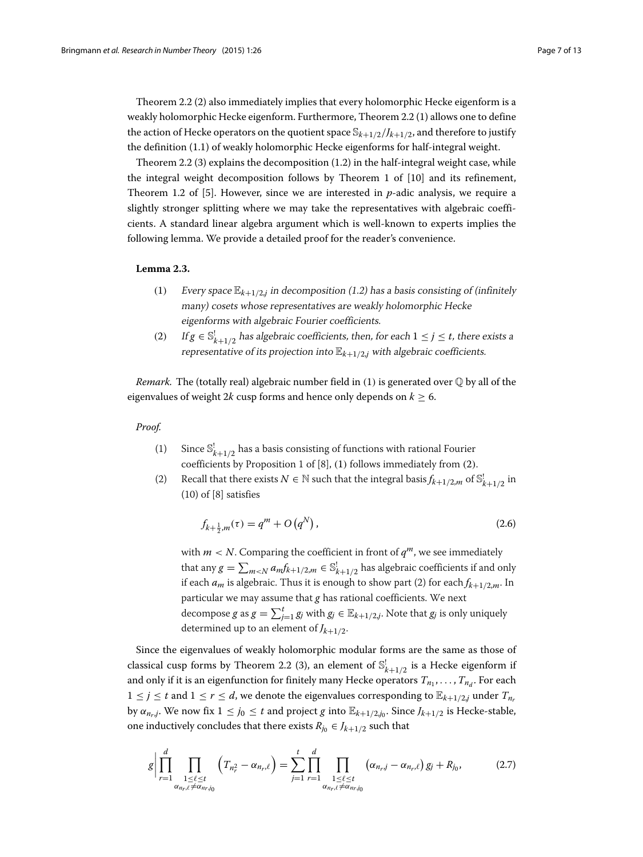Theorem [2.2](#page-5-0) (2) also immediately implies that every holomorphic Hecke eigenform is a weakly holomorphic Hecke eigenform. Furthermore, Theorem [2.2](#page-5-0) (1) allows one to define the action of Hecke operators on the quotient space  $\mathbb{S}_{k+1/2}/J_{k+1/2}$ , and therefore to justify the definition [\(1.1\)](#page-1-0) of weakly holomorphic Hecke eigenforms for half-integral weight.

Theorem [2.2](#page-5-0) (3) explains the decomposition [\(1.2\)](#page-1-1) in the half-integral weight case, while the integral weight decomposition follows by Theorem 1 of [\[10\]](#page-12-4) and its refinement, Theorem 1.2 of [\[5\]](#page-12-14). However, since we are interested in *p*-adic analysis, we require a slightly stronger splitting where we may take the representatives with algebraic coefficients. A standard linear algebra argument which is well-known to experts implies the following lemma. We provide a detailed proof for the reader's convenience.

#### <span id="page-6-0"></span>**Lemma 2.3.**

- (1) Every space  $\mathbb{E}_{k+1/2,i}$  in decomposition [\(1.2\)](#page-1-1) has a basis consisting of (infinitely many) cosets whose representatives are weakly holomorphic Hecke eigenforms with algebraic Fourier coefficients.
- (2) If  $g \in \mathbb{S}_{k+1/2}^!$  has algebraic coefficients, then, for each  $1 \le j \le t$ , there exists a representative of its projection into  $\mathbb{E}_{k+1/2,j}$  with algebraic coefficients.

*Remark.* The (totally real) algebraic number field in (1) is generated over  $\mathbb Q$  by all of the eigenvalues of weight 2*k* cusp forms and hence only depends on  $k > 6$ .

#### *Proof.*

- (1) Since  $\mathbb{S}_{k+1/2}^!$  has a basis consisting of functions with rational Fourier coefficients by Proposition 1 of [\[8\]](#page-12-5), (1) follows immediately from (2).
- (2) Recall that there exists  $N \in \mathbb{N}$  such that the integral basis  $f_{k+1/2,m}$  of  $\mathbb{S}^!_{k+1/2}$  in (10) of [\[8\]](#page-12-5) satisfies

<span id="page-6-2"></span>
$$
f_{k+\frac{1}{2},m}(\tau) = q^m + O(q^N),\tag{2.6}
$$

with  $m < N$ . Comparing the coefficient in front of  $q^m$ , we see immediately that any  $g = \sum_{m \lt N} a_m f_{k+1/2,m} \in \mathbb{S}_{k+1/2}^!$  has algebraic coefficients if and only if each  $a_m$  is algebraic. Thus it is enough to show part (2) for each  $f_{k+1/2,m}$ . In particular we may assume that *g* has rational coefficients. We next decompose *g* as  $g = \sum_{j=1}^{t} g_j$  with  $g_j \in \mathbb{E}_{k+1/2,j}$ . Note that  $g_j$  is only uniquely determined up to an element of  $J_{k+1/2}$ .

Since the eigenvalues of weakly holomorphic modular forms are the same as those of classical cusp forms by Theorem [2.2](#page-5-0) (3), an element of  $\mathbb{S}^!_{k+1/2}$  is a Hecke eigenform if and only if it is an eigenfunction for finitely many Hecke operators  $T_{n_1}, \ldots, T_{n_d}$ . For each  $1 \leq j \leq t$  and  $1 \leq r \leq d$ , we denote the eigenvalues corresponding to  $\mathbb{E}_{k+1/2,j}$  under  $T_{n_r}$ by  $\alpha_{n_r,j}$ . We now fix  $1 \leq j_0 \leq t$  and project *g* into  $\mathbb{E}_{k+1/2,j_0}$ . Since  $J_{k+1/2}$  is Hecke-stable, one inductively concludes that there exists  $R_{j0} \in J_{k+1/2}$  such that

<span id="page-6-1"></span>
$$
g\Big|\prod_{r=1}^{d}\prod_{\substack{1\leq\ell\leq t\\ \alpha_{n_r,\ell}\neq\alpha_{n_r,j_0}}}\left(T_{n_r^2}-\alpha_{n_r,\ell}\right)=\sum_{j=1}^{t}\prod_{r=1}^{d}\prod_{\substack{1\leq\ell\leq t\\ \alpha_{n_r,\ell}\neq\alpha_{n_r,j_0}}}\left(\alpha_{n_r,j}-\alpha_{n_r,\ell}\right)g_j+R_{j_0},\tag{2.7}
$$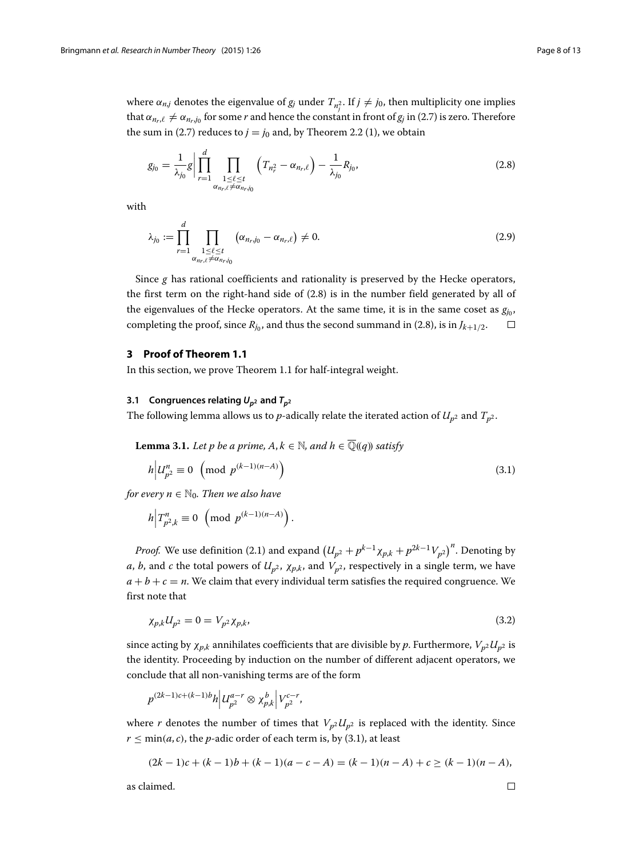where  $\alpha_{n,j}$  denotes the eigenvalue of  $g_j$  under  $T_{n_j^2}$ . If  $j \neq j_0$ , then multiplicity one implies that  $\alpha_{n_r,\ell} \neq \alpha_{n_r,j_0}$  for some *r* and hence the constant in front of  $g_j$  in [\(2.7\)](#page-6-1) is zero. Therefore the sum in [\(2.7\)](#page-6-1) reduces to  $j = j_0$  and, by Theorem [2.2](#page-5-0) (1), we obtain

<span id="page-7-1"></span>
$$
g_{j_0} = \frac{1}{\lambda_{j_0}} g \bigg| \prod_{r=1}^d \prod_{\substack{1 \leq \ell \leq t \\ \alpha_{n_r,\ell} \neq \alpha_{n_r,j_0}}} \left( T_{n_r^2} - \alpha_{n_r,\ell} \right) - \frac{1}{\lambda_{j_0}} R_{j_0}, \tag{2.8}
$$

<span id="page-7-5"></span>with

$$
\lambda_{j_0} := \prod_{r=1}^d \prod_{\substack{1 \leq \ell \leq t \\ \alpha_{n_r,\ell} \neq \alpha_{n_r,j_0}}} \left( \alpha_{n_r,j_0} - \alpha_{n_r,\ell} \right) \neq 0. \tag{2.9}
$$

Since *g* has rational coefficients and rationality is preserved by the Hecke operators, the first term on the right-hand side of [\(2.8\)](#page-7-1) is in the number field generated by all of the eigenvalues of the Hecke operators. At the same time, it is in the same coset as  $g_{i_0}$ , completing the proof, since  $R_{j_0}$ , and thus the second summand in [\(2.8\)](#page-7-1), is in  $J_{k+1/2}$ .  $\Box$ 

### <span id="page-7-0"></span>**3 Proof of Theorem [1.1](#page-2-0)**

In this section, we prove Theorem [1.1](#page-2-0) for half-integral weight.

#### **3.1** Congruences relating  $U_{p^2}$  and  $T_{p^2}$

The following lemma allows us to *p*-adically relate the iterated action of  $U_{p^2}$  and  $T_{p^2}$ .

<span id="page-7-4"></span>**Lemma 3.1.** *Let p be a prime,*  $A, k \in \mathbb{N}$ *, and*  $h \in \overline{\mathbb{Q}}((q))$  *satisfy* 

<span id="page-7-2"></span>.

$$
h \Big| U_{p^2}^n \equiv 0 \pmod{p^{(k-1)(n-A)}}
$$
\n
$$
(3.1)
$$

*for every*  $n \in \mathbb{N}_0$ *. Then we also have* 

$$
h\Big|T_{p^2,k}^n\equiv 0\!\!\pmod{p^{(k-1)(n-A)}}
$$

*Proof.* We use definition [\(2.1\)](#page-4-1) and expand  $\left(U_{p^2}+p^{k-1}\chi_{p,k}+p^{2k-1}V_{p^2}\right)^n$ . Denoting by *a*, *b*, and *c* the total powers of  $U_{p^2}$ ,  $\chi_{p,k}$ , and  $V_{p^2}$ , respectively in a single term, we have  $a + b + c = n$ . We claim that every individual term satisfies the required congruence. We first note that

<span id="page-7-3"></span>
$$
\chi_{p,k} U_{p^2} = 0 = V_{p^2} \chi_{p,k},\tag{3.2}
$$

since acting by  $\chi_{p,k}$  annihilates coefficients that are divisible by p. Furthermore,  $V_{p2}U_{p2}$  is the identity. Proceeding by induction on the number of different adjacent operators, we conclude that all non-vanishing terms are of the form

$$
p^{(2k-1)c+(k-1)b}h\Big|\mathcal{U}_{p^2}^{a-r}\otimes\chi^b_{p,k}\Big|\mathcal{V}_{p^2}^{c-r},
$$

where *r* denotes the number of times that  $V_{p2}U_{p2}$  is replaced with the identity. Since  $r \leq min(a, c)$ , the *p*-adic order of each term is, by [\(3.1\)](#page-7-2), at least

$$
(2k-1)c + (k-1)b + (k-1)(a-c-A) = (k-1)(n-A) + c \ge (k-1)(n-A),
$$

as claimed.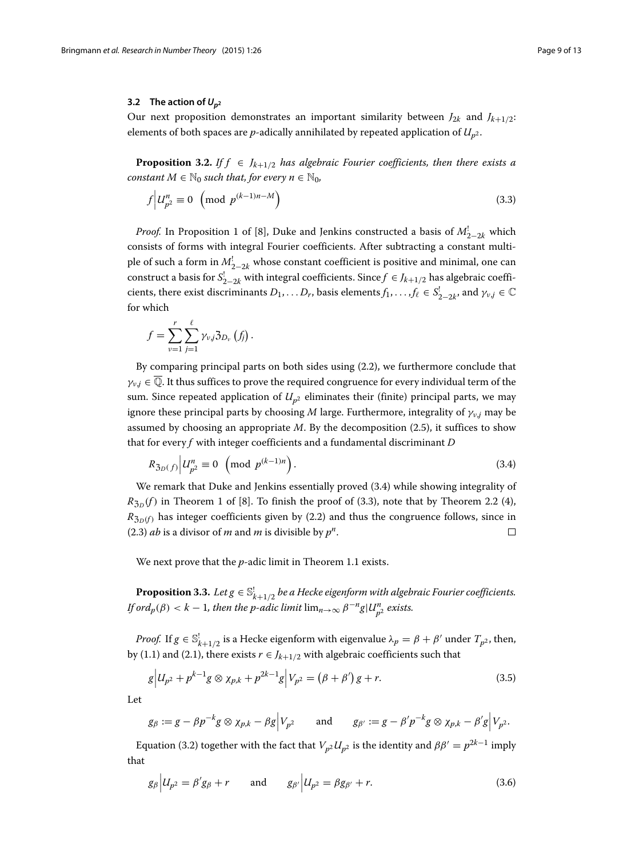#### **3.2** The action of  $U_{p^2}$

Our next proposition demonstrates an important similarity between  $J_{2k}$  and  $J_{k+1/2}$ : elements of both spaces are  $p$ -adically annihilated by repeated application of  $U_{p^2}$ .

<span id="page-8-3"></span>**Proposition 3.2.** *If*  $f \in J_{k+1/2}$  *has algebraic Fourier coefficients, then there exists a constant*  $M \in \mathbb{N}_0$  *such that, for every*  $n \in \mathbb{N}_0$ *,* 

$$
f\left|U_{p^2}^n\equiv 0\pmod{p^{(k-1)n-M}}
$$
\n(3.3)

*Proof.* In Proposition 1 of [\[8\]](#page-12-5), Duke and Jenkins constructed a basis of  $M^!_{2-2k}$  which consists of forms with integral Fourier coefficients. After subtracting a constant multiple of such a form in  $M_{2-2k}^!$  whose constant coefficient is positive and minimal, one can construct a basis for  $S_{2-2k}^!$  with integral coefficients. Since  $f \in J_{k+1/2}$  has algebraic coefficients, there exist discriminants  $D_1, \ldots, D_r$ , basis elements  $f_1, \ldots, f_\ell \in S_{2-2k}^!$ , and  $\gamma_{v,j} \in \mathbb{C}$ for which

$$
f=\sum_{\nu=1}^r\sum_{j=1}^\ell\gamma_{\nu,j}\mathfrak{Z}_{D_\nu}\left(f_j\right)
$$

<span id="page-8-1"></span><span id="page-8-0"></span>.

By comparing principal parts on both sides using [\(2.2\)](#page-5-1), we furthermore conclude that  $\gamma_{v,j} \in \overline{\mathbb{Q}}$ . It thus suffices to prove the required congruence for every individual term of the sum. Since repeated application of  $U_{p^2}$  eliminates their (finite) principal parts, we may ignore these principal parts by choosing *M* large. Furthermore, integrality of  $\gamma_{v,j}$  may be assumed by choosing an appropriate *M*. By the decomposition [\(2.5\)](#page-5-2), it suffices to show that for every *f* with integer coefficients and a fundamental discriminant *D*

$$
R_{3p(f)} | U_{p^2}^n \equiv 0 \pmod{p^{(k-1)n}}.
$$
 (3.4)

We remark that Duke and Jenkins essentially proved [\(3.4\)](#page-8-0) while showing integrality of  $R_{3p}(f)$  in Theorem 1 of [\[8\]](#page-12-5). To finish the proof of [\(3.3\)](#page-8-1), note that by Theorem [2.2](#page-5-0) (4),  $R_{3p(f)}$  has integer coefficients given by [\(2.2\)](#page-5-1) and thus the congruence follows, since in [\(2.3\)](#page-5-3) *ab* is a divisor of *m* and *m* is divisible by  $p^n$ .  $\Box$ 

We next prove that the *p*-adic limit in Theorem [1.1](#page-2-0) exists.

<span id="page-8-5"></span>**Proposition 3.3.** Let  $g \in \mathbb{S}_{k+1/2}^!$  be a Hecke eigenform with algebraic Fourier coefficients. *If ord<sub>p</sub>*( $\beta$ ) < *k* − 1*, then the p-adic limit* lim<sub>*n*→∞</sub>  $\beta^{-n}g|U_{p^2}^n$  *exists.* 

*Proof.* If  $g \in \mathbb{S}^!_{k+1/2}$  is a Hecke eigenform with eigenvalue  $\lambda_p = \beta + \beta'$  under  $T_{p^2}$ , then, by [\(1.1\)](#page-1-0) and [\(2.1\)](#page-4-1), there exists  $r \in J_{k+1/2}$  with algebraic coefficients such that

<span id="page-8-4"></span>
$$
g\Big|U_{p^2} + p^{k-1}g \otimes \chi_{p,k} + p^{2k-1}g\Big|V_{p^2} = (\beta + \beta')g + r.
$$
\n(3.5)

Let

$$
g_{\beta} := g - \beta p^{-k} g \otimes \chi_{p,k} - \beta g |V_{p^2}
$$
 and  $g_{\beta'} := g - \beta' p^{-k} g \otimes \chi_{p,k} - \beta' g |V_{p^2}.$ 

Equation [\(3.2\)](#page-7-3) together with the fact that  $V_{p^2}U_{p^2}$  is the identity and  $ββ' = p^{2k-1}$  imply that

<span id="page-8-2"></span>
$$
g_{\beta} | U_{p^2} = \beta' g_{\beta} + r
$$
 and  $g_{\beta'} | U_{p^2} = \beta g_{\beta'} + r.$  (3.6)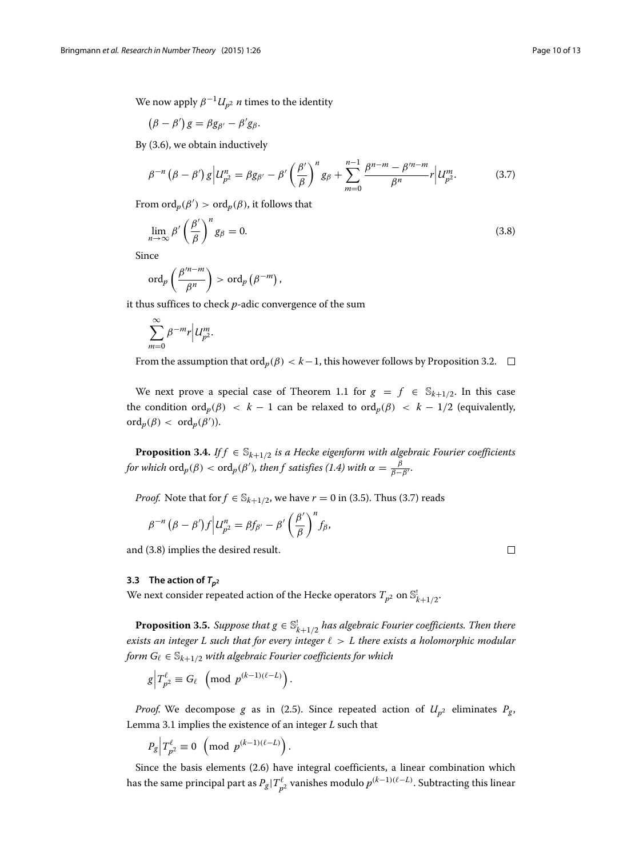We now apply  $\beta^{-1}U_{n^2}$  *n* times to the identity

$$
(\beta - \beta')g = \beta g_{\beta'} - \beta' g_{\beta}.
$$

By [\(3.6\)](#page-8-2), we obtain inductively

<span id="page-9-0"></span>
$$
\beta^{-n} (\beta - \beta') g | U_{p^2}^n = \beta g_{\beta'} - \beta' \left( \frac{\beta'}{\beta} \right)^n g_{\beta} + \sum_{m=0}^{n-1} \frac{\beta^{n-m} - \beta'^{n-m}}{\beta^n} r | U_{p^2}^m. \tag{3.7}
$$

From  $\mathrm{ord}_p(\beta') > \mathrm{ord}_p(\beta)$ , it follows that

<span id="page-9-1"></span>
$$
\lim_{n \to \infty} \beta' \left(\frac{\beta'}{\beta}\right)^n g_\beta = 0. \tag{3.8}
$$

Since

$$
\operatorname{ord}_p\left(\frac{\beta'^{n-m}}{\beta^n}\right) > \operatorname{ord}_p\left(\beta^{-m}\right),\,
$$

it thus suffices to check *p*-adic convergence of the sum

$$
\sum_{m=0}^{\infty} \beta^{-m} r \Big| U_{p^2}^m.
$$

From the assumption that ord<sub>*p*</sub>( $\beta$ ) < *k*−1, this however follows by Proposition [3.2.](#page-8-3) □

We next prove a special case of Theorem [1.1](#page-2-0) for  $g = f \in S_{k+1/2}$ . In this case the condition ord<sub>*p*</sub>( $\beta$ ) < *k* − 1 can be relaxed to ord<sub>*p*</sub>( $\beta$ ) < *k* − 1/2 (equivalently,  $\mathrm{ord}_p(\beta) < \mathrm{ord}_p(\beta').$ 

<span id="page-9-3"></span>**Proposition 3.4.** *If f*  $\in$   $\mathbb{S}_{k+1/2}$  *is a Hecke eigenform with algebraic Fourier coefficients for which*  $\text{ord}_p(\beta) < \text{ord}_p(\beta')$ *, then f satisfies* [\(1.4\)](#page-2-2) *with*  $\alpha = \frac{\beta}{\beta - \beta'}$ *.* 

*Proof.* Note that for  $f \in \mathbb{S}_{k+1/2}$ , we have  $r = 0$  in [\(3.5\)](#page-8-4). Thus [\(3.7\)](#page-9-0) reads

$$
\beta^{-n}(\beta-\beta')f\Big|U_{p^2}^n=\beta f_{\beta'}-\beta'\left(\frac{\beta'}{\beta}\right)^nf_{\beta},
$$

and [\(3.8\)](#page-9-1) implies the desired result.

#### **3.3** The action of  $T_{p^2}$

We next consider repeated action of the Hecke operators  $T_{p^2}$  on  $\mathbb{S}^!_{k+1/2}.$ 

<span id="page-9-2"></span>**Proposition 3.5.** *Suppose that*  $g \in \mathbb{S}_{k+1/2}^!$  *has algebraic Fourier coefficients. Then there exists an integer L such that for every integer*  $\ell > L$  there exists a holomorphic modular *form*  $G_\ell \in \mathbb{S}_{k+1/2}$  *with algebraic Fourier coefficients for which* 

$$
g\Big|T_{p^2}^{\ell}\equiv G_{\ell}\ \left(\text{mod}\ p^{(k-1)(\ell-L)}\right).
$$

*Proof.* We decompose *g* as in [\(2.5\)](#page-5-2). Since repeated action of  $U_{p^2}$  eliminates  $P_g$ , Lemma [3.1](#page-7-4) implies the existence of an integer *L* such that

$$
P_g\Big|T_{p^2}^{\ell}\equiv 0\ \left(\text{mod}\ p^{(k-1)(\ell-L)}\right).
$$

Since the basis elements [\(2.6\)](#page-6-2) have integral coefficients, a linear combination which has the same principal part as  $P_g | T_{p^2}^{\ell}$  vanishes modulo  $p^{(k-1)(\ell-L)}$ . Subtracting this linear

 $\Box$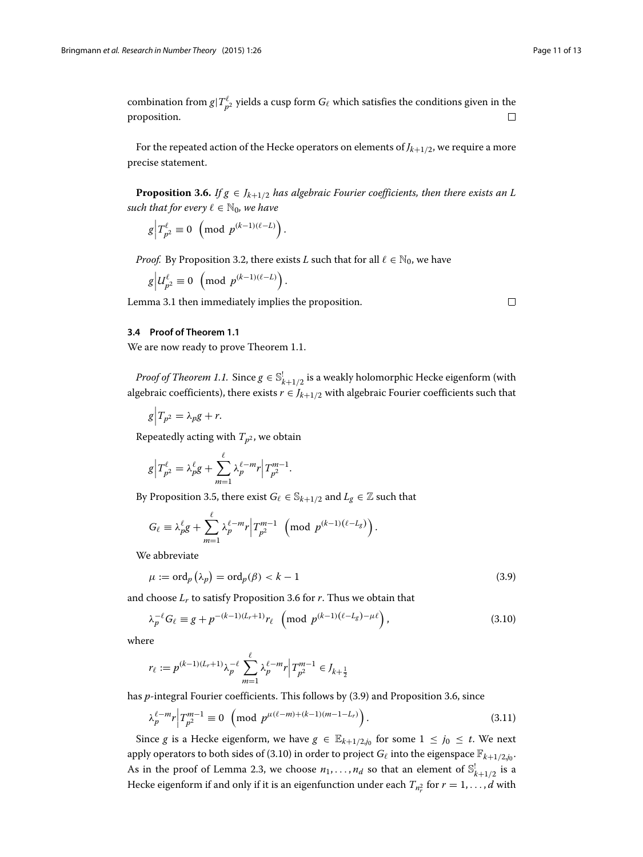$\Box$ 

combination from  $g|T^{\ell}_{p^2}$  yields a cusp form  $G_{\ell}$  which satisfies the conditions given in the proposition.  $\Box$ 

For the repeated action of the Hecke operators on elements of *Jk*+1/2, we require a more precise statement.

<span id="page-10-0"></span>**Proposition 3.6.** *If*  $g \in J_{k+1/2}$  *has algebraic Fourier coefficients, then there exists an L such that for every*  $\ell \in \mathbb{N}_0$ *, we have* 

$$
g\Big|T_{p^2}^{\ell}\equiv 0\ \left(\text{mod}\ p^{(k-1)(\ell-L)}\right).
$$

*Proof.* By Proposition [3.2,](#page-8-3) there exists *L* such that for all  $\ell \in \mathbb{N}_0$ , we have

.

$$
g\Big|U_{p^2}^{\ell}\equiv 0\ \left(\text{mod}\ p^{(k-1)(\ell-L)}\right)
$$

Lemma [3.1](#page-7-4) then immediately implies the proposition.

#### **3.4 Proof of Theorem [1.1](#page-2-0)**

We are now ready to prove Theorem [1.1.](#page-2-0)

*Proof of Theorem [1.1.](#page-2-0)* Since  $g \in \mathbb{S}^!_{k+1/2}$  is a weakly holomorphic Hecke eigenform (with algebraic coefficients), there exists  $r \in J_{k+1/2}$  with algebraic Fourier coefficients such that

$$
g\Big|T_{p^2}=\lambda_p g+r.
$$

Repeatedly acting with  $T_{p^2}$ , we obtain

$$
g\Big|T_{p^2}^{\ell}=\lambda_p^{\ell}g+\sum_{m=1}^{\ell}\lambda_p^{\ell-m}r\Big|T_{p^2}^{m-1}.
$$

By Proposition [3.5,](#page-9-2) there exist  $G_\ell \in \mathbb{S}_{k+1/2}$  and  $L_g \in \mathbb{Z}$  such that

$$
G_{\ell} \equiv \lambda_p^{\ell} g + \sum_{m=1}^{\ell} \lambda_p^{\ell-m} r \Big| T_{p^2}^{m-1} \pmod{p^{(k-1)(\ell-L_g)}}.
$$

We abbreviate

<span id="page-10-2"></span><span id="page-10-1"></span>
$$
\mu := \operatorname{ord}_p\left(\lambda_p\right) = \operatorname{ord}_p(\beta) < k - 1\tag{3.9}
$$

and choose  $L_r$  to satisfy Proposition [3.6](#page-10-0) for  $r$ . Thus we obtain that

$$
\lambda_p^{-\ell} G_\ell \equiv g + p^{-(k-1)(L_r + 1)} r_\ell \pmod{p^{(k-1)(\ell - L_g) - \mu \ell}},\tag{3.10}
$$

where

$$
r_{\ell} := p^{(k-1)(L_r+1)} \lambda_p^{-\ell} \sum_{m=1}^{\ell} \lambda_p^{\ell-m} r \Big| T_{p^2}^{m-1} \in J_{k+\frac{1}{2}}
$$

has *p*-integral Fourier coefficients. This follows by [\(3.9\)](#page-10-1) and Proposition [3.6,](#page-10-0) since

$$
\lambda_p^{\ell-m} r \Big| T_{p^2}^{m-1} \equiv 0 \ \left( \text{mod } p^{\mu(\ell-m)+(k-1)(m-1-L_r)} \right). \tag{3.11}
$$

Since *g* is a Hecke eigenform, we have  $g \in \mathbb{E}_{k+1/2,j_0}$  for some  $1 \leq j_0 \leq t$ . We next apply operators to both sides of [\(3.10\)](#page-10-2) in order to project  $G_{\ell}$  into the eigenspace  $\mathbb{F}_{k+1/2,j_0}$ . As in the proof of Lemma [2.3,](#page-6-0) we choose  $n_1, \ldots, n_d$  so that an element of  $\mathbb{S}^!_{k+1/2}$  is a Hecke eigenform if and only if it is an eigenfunction under each  $T_{n_r^2}$  for  $r=1,\ldots,d$  with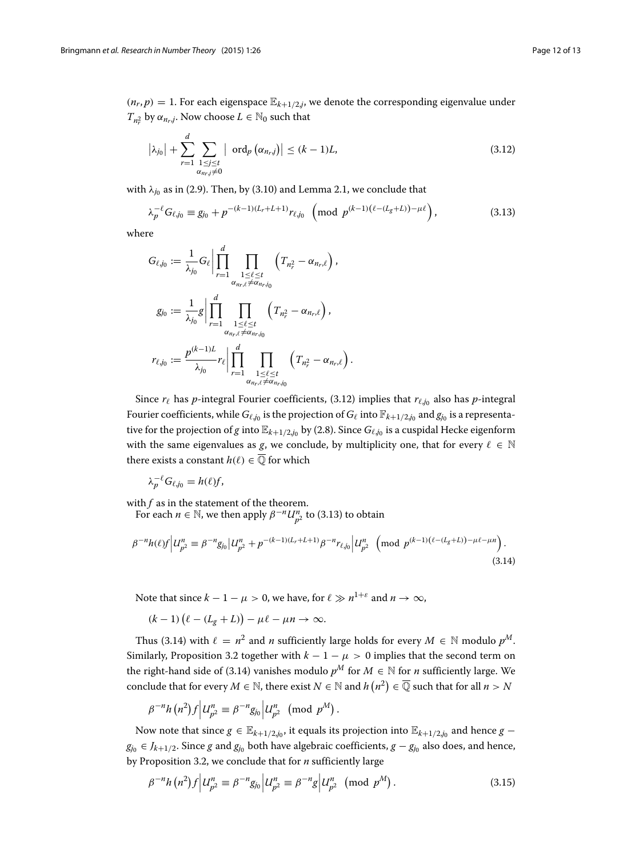$(n_r, p) = 1$ . For each eigenspace  $\mathbb{E}_{k+1/2,j}$ , we denote the corresponding eigenvalue under  $T_{n_r^2}$  by  $\alpha_{n_r,j}$ . Now choose  $L \in \mathbb{N}_0$  such that

<span id="page-11-0"></span>
$$
\left|\lambda_{j_0}\right| + \sum_{r=1}^d \sum_{\substack{1 \le j \le t \\ \alpha_{n_r,j} \neq 0}} \left| \text{ ord}_p\left(\alpha_{n_r,j}\right) \right| \le (k-1)L,
$$
\n(3.12)

with  $\lambda_{j_0}$  as in [\(2.9\)](#page-7-5). Then, by [\(3.10\)](#page-10-2) and Lemma [2.1,](#page-4-2) we conclude that

<span id="page-11-1"></span>
$$
\lambda_p^{-\ell} G_{\ell,j_0} \equiv g_{j_0} + p^{-(k-1)(L_r + L + 1)} r_{\ell,j_0} \pmod{p^{(k-1)(\ell - (L_g + L)) - \mu \ell}},\tag{3.13}
$$

where

$$
G_{\ell,j_0} := \frac{1}{\lambda_{j_0}} G_{\ell} \Bigg| \prod_{r=1}^d \prod_{\substack{1 \leq \ell \leq t \\ \alpha_{n_r,\ell} \neq \alpha_{n_r,j_0}}} \left( T_{n_r^2} - \alpha_{n_r,\ell} \right),
$$
  

$$
g_{j_0} := \frac{1}{\lambda_{j_0}} g \Bigg| \prod_{r=1}^d \prod_{\substack{1 \leq \ell \leq t \\ \alpha_{n_r,\ell} \neq \alpha_{n_r,j_0}}} \left( T_{n_r^2} - \alpha_{n_r,\ell} \right),
$$
  

$$
r_{\ell,j_0} := \frac{p^{(k-1)L}}{\lambda_{j_0}} r_{\ell} \Bigg| \prod_{\substack{r=1 \\ r=1}}^d \prod_{\substack{1 \leq \ell \leq t \\ \alpha_{n_r,\ell} \neq \alpha_{n_r,j_0}}} \left( T_{n_r^2} - \alpha_{n_r,\ell} \right).
$$

Since  $r_{\ell}$  has *p*-integral Fourier coefficients, [\(3.12\)](#page-11-0) implies that  $r_{\ell,j_0}$  also has *p*-integral Fourier coefficients, while  $G_{\ell,j_0}$  is the projection of  $G_{\ell}$  into  $\mathbb{F}_{k+1/2,j_0}$  and  $g_{j_0}$  is a representative for the projection of *g* into  $\mathbb{E}_{k+1/2,j_0}$  by [\(2.8\)](#page-7-1). Since  $G_{\ell,j_0}$  is a cuspidal Hecke eigenform with the same eigenvalues as *g*, we conclude, by multiplicity one, that for every  $\ell \in \mathbb{N}$ there exists a constant  $h(\ell) \in \overline{Q}$  for which

$$
\lambda_p^{-\ell} G_{\ell,j_0} = h(\ell) f,
$$

with  $f$  as in the statement of the theorem.

For each  $n \in \mathbb{N}$ , we then apply  $\beta^{-n}U_{p^2}^n$  to [\(3.13\)](#page-11-1) to obtain

$$
\beta^{-n}h(\ell)f\Big|U_{p^2}^n\equiv\beta^{-n}g_{j_0}\Big|U_{p^2}^n+p^{-(k-1)(L_r+L+1)}\beta^{-n}r_{\ell,j_0}\Big|U_{p^2}^n\pmod{p^{(k-1)(\ell-(L_g+L))-\mu\ell-\mu n}}.
$$
\n(3.14)

Note that since  $k - 1 - \mu > 0$ , we have, for  $\ell \gg n^{1+\varepsilon}$  and  $n \to \infty$ ,

$$
(k-1)\left(\ell-(L_g+L)\right)-\mu\ell-\mu n\to\infty.
$$

Thus [\(3.14\)](#page-11-2) with  $\ell = n^2$  and *n* sufficiently large holds for every  $M \in \mathbb{N}$  modulo  $p^M$ . Similarly, Proposition [3.2](#page-8-3) together with  $k - 1 - \mu > 0$  implies that the second term on the right-hand side of [\(3.14\)](#page-11-2) vanishes modulo  $p^M$  for  $M \in \mathbb{N}$  for *n* sufficiently large. We conclude that for every  $M \in \mathbb{N}$ , there exist  $N \in \mathbb{N}$  and  $h(n^2) \in \overline{\mathbb{Q}}$  such that for all  $n > N$ 

$$
\beta^{-n}h(n^2)f\Big|U_{p^2}^n\equiv\beta^{-n}g_{j_0}\Big|U_{p^2}^n\pmod{p^M}
$$

Now note that since *g* ∈  $\mathbb{E}_{k+1/2,j_0}$ , it equals its projection into  $\mathbb{E}_{k+1/2,j_0}$  and hence *g* − *g*<sub>j0</sub> ∈ *J<sub>k+1/2</sub>*. Since *g* and  $g_{j0}$  both have algebraic coefficients,  $g - g_{j0}$  also does, and hence, by Proposition [3.2,](#page-8-3) we conclude that for *n* sufficiently large

$$
\beta^{-n}h(n^2)f|U_{p^2}^n \equiv \beta^{-n}g_{j_0}|U_{p^2}^n \equiv \beta^{-n}g|U_{p^2}^n \pmod{p^M}.
$$
 (3.15)

<span id="page-11-3"></span><span id="page-11-2"></span>.